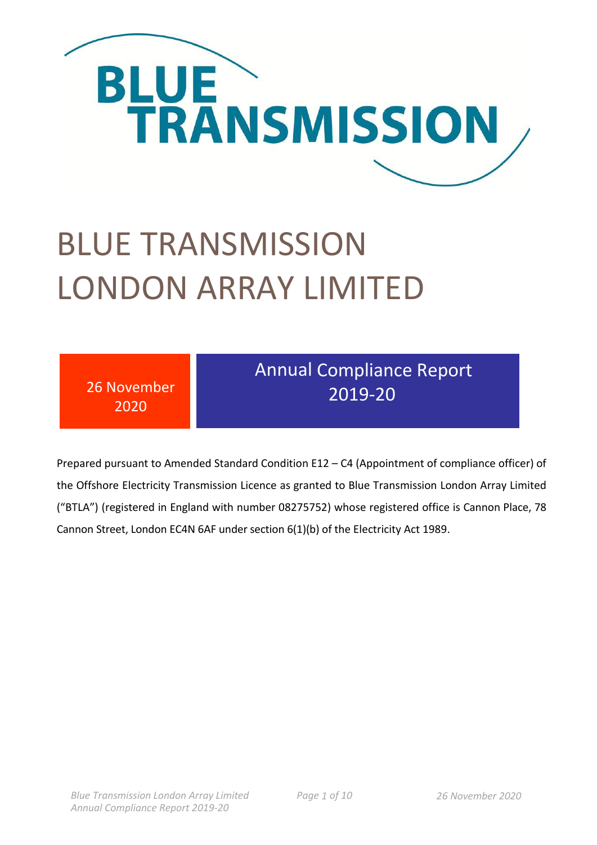

# BLUE TRANSMISSION LONDON ARRAY LIMITED

| <b>Annual Compliance Report</b><br>26 November<br>2019-20<br>2020 |
|-------------------------------------------------------------------|
|-------------------------------------------------------------------|

Prepared pursuant to Amended Standard Condition E12 – C4 (Appointment of compliance officer) of the Offshore Electricity Transmission Licence as granted to Blue Transmission London Array Limited ("BTLA") (registered in England with number 08275752) whose registered office is Cannon Place, 78 Cannon Street, London EC4N 6AF under section 6(1)(b) of the Electricity Act 1989.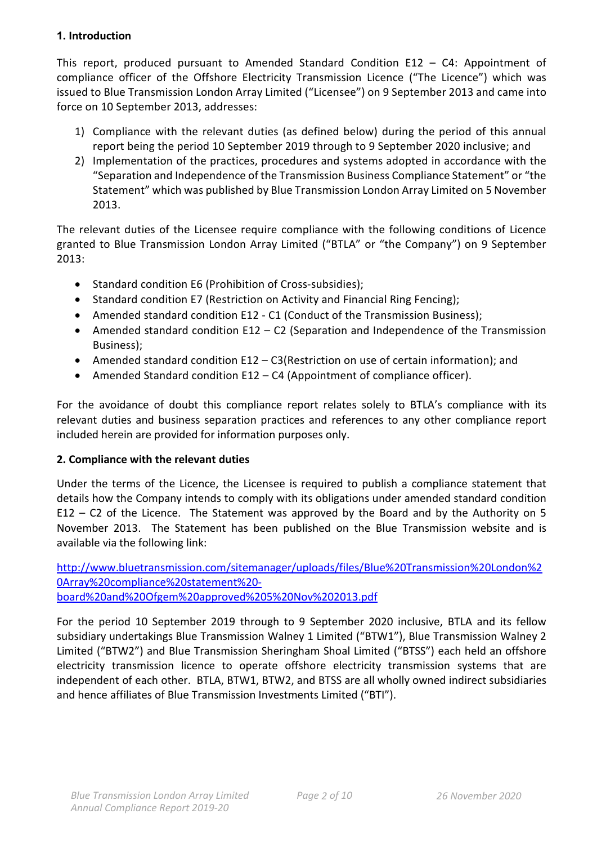#### **1. Introduction**

This report, produced pursuant to Amended Standard Condition E12 – C4: Appointment of compliance officer of the Offshore Electricity Transmission Licence ("The Licence") which was issued to Blue Transmission London Array Limited ("Licensee") on 9 September 2013 and came into force on 10 September 2013, addresses:

- 1) Compliance with the relevant duties (as defined below) during the period of this annual report being the period 10 September 2019 through to 9 September 2020 inclusive; and
- 2) Implementation of the practices, procedures and systems adopted in accordance with the "Separation and Independence of the Transmission Business Compliance Statement" or "the Statement" which was published by Blue Transmission London Array Limited on 5 November 2013.

The relevant duties of the Licensee require compliance with the following conditions of Licence granted to Blue Transmission London Array Limited ("BTLA" or "the Company") on 9 September 2013:

- Standard condition E6 (Prohibition of Cross-subsidies);
- Standard condition E7 (Restriction on Activity and Financial Ring Fencing);
- Amended standard condition E12 C1 (Conduct of the Transmission Business);
- Amended standard condition E12 C2 (Separation and Independence of the Transmission Business);
- Amended standard condition E12 C3(Restriction on use of certain information); and
- Amended Standard condition E12 C4 (Appointment of compliance officer).

For the avoidance of doubt this compliance report relates solely to BTLA's compliance with its relevant duties and business separation practices and references to any other compliance report included herein are provided for information purposes only.

# **2. Compliance with the relevant duties**

Under the terms of the Licence, the Licensee is required to publish a compliance statement that details how the Company intends to comply with its obligations under amended standard condition E12 – C2 of the Licence. The Statement was approved by the Board and by the Authority on 5 November 2013. The Statement has been published on the Blue Transmission website and is available via the following link:

[http://www.bluetransmission.com/sitemanager/uploads/files/Blue%20Transmission%20London%2](http://www.bluetransmission.com/sitemanager/uploads/files/Blue%20Transmission%20London%20Array%20compliance%20statement%20-board%20and%20Ofgem%20approved%205%20Nov%202013.pdf) [0Array%20compliance%20statement%20](http://www.bluetransmission.com/sitemanager/uploads/files/Blue%20Transmission%20London%20Array%20compliance%20statement%20-board%20and%20Ofgem%20approved%205%20Nov%202013.pdf) [board%20and%20Ofgem%20approved%205%20Nov%202013.pdf](http://www.bluetransmission.com/sitemanager/uploads/files/Blue%20Transmission%20London%20Array%20compliance%20statement%20-board%20and%20Ofgem%20approved%205%20Nov%202013.pdf)

For the period 10 September 2019 through to 9 September 2020 inclusive, BTLA and its fellow subsidiary undertakings Blue Transmission Walney 1 Limited ("BTW1"), Blue Transmission Walney 2 Limited ("BTW2") and Blue Transmission Sheringham Shoal Limited ("BTSS") each held an offshore electricity transmission licence to operate offshore electricity transmission systems that are independent of each other. BTLA, BTW1, BTW2, and BTSS are all wholly owned indirect subsidiaries and hence affiliates of Blue Transmission Investments Limited ("BTI").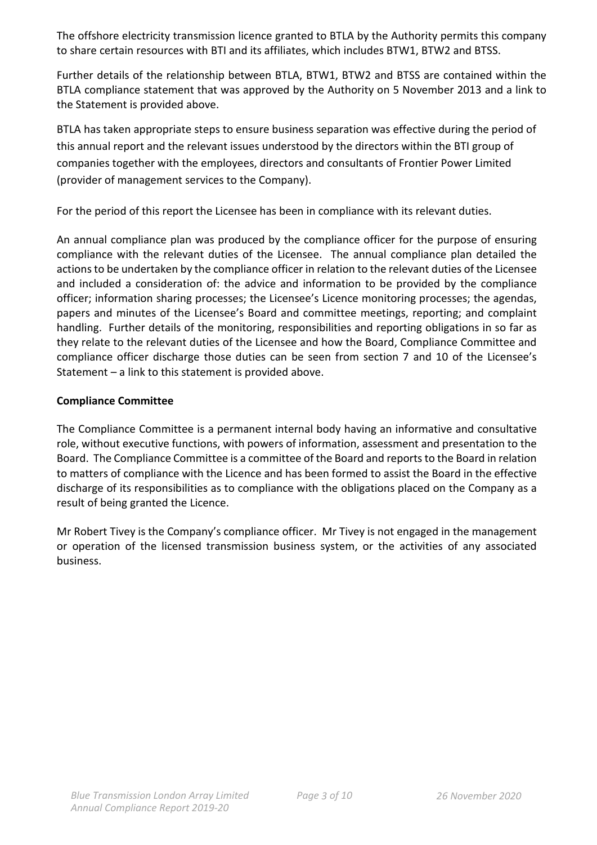The offshore electricity transmission licence granted to BTLA by the Authority permits this company to share certain resources with BTI and its affiliates, which includes BTW1, BTW2 and BTSS.

Further details of the relationship between BTLA, BTW1, BTW2 and BTSS are contained within the BTLA compliance statement that was approved by the Authority on 5 November 2013 and a link to the Statement is provided above.

BTLA has taken appropriate steps to ensure business separation was effective during the period of this annual report and the relevant issues understood by the directors within the BTI group of companies together with the employees, directors and consultants of Frontier Power Limited (provider of management services to the Company).

For the period of this report the Licensee has been in compliance with its relevant duties.

An annual compliance plan was produced by the compliance officer for the purpose of ensuring compliance with the relevant duties of the Licensee. The annual compliance plan detailed the actions to be undertaken by the compliance officer in relation to the relevant duties of the Licensee and included a consideration of: the advice and information to be provided by the compliance officer; information sharing processes; the Licensee's Licence monitoring processes; the agendas, papers and minutes of the Licensee's Board and committee meetings, reporting; and complaint handling. Further details of the monitoring, responsibilities and reporting obligations in so far as they relate to the relevant duties of the Licensee and how the Board, Compliance Committee and compliance officer discharge those duties can be seen from section 7 and 10 of the Licensee's Statement – a link to this statement is provided above.

# **Compliance Committee**

The Compliance Committee is a permanent internal body having an informative and consultative role, without executive functions, with powers of information, assessment and presentation to the Board. The Compliance Committee is a committee of the Board and reports to the Board in relation to matters of compliance with the Licence and has been formed to assist the Board in the effective discharge of its responsibilities as to compliance with the obligations placed on the Company as a result of being granted the Licence.

Mr Robert Tivey is the Company's compliance officer. Mr Tivey is not engaged in the management or operation of the licensed transmission business system, or the activities of any associated business.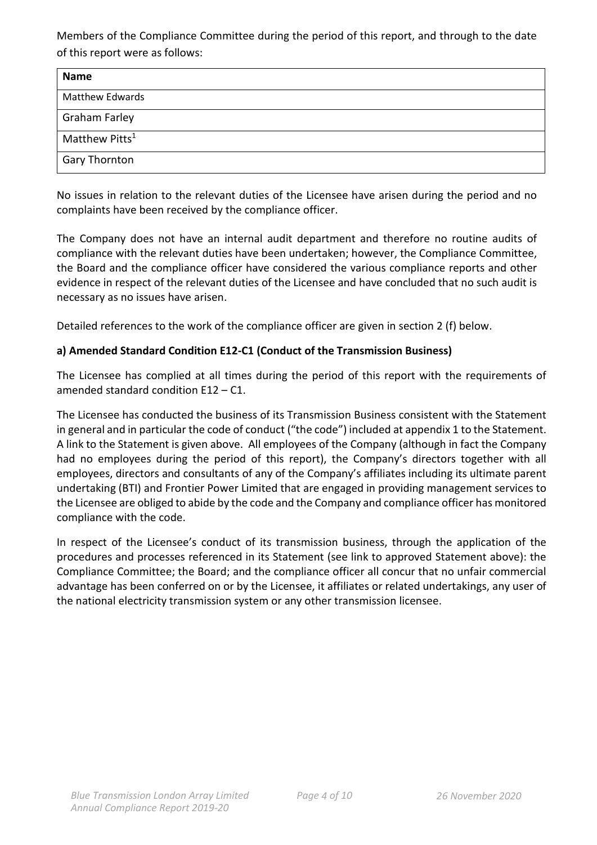Members of the Compliance Committee during the period of this report, and through to the date of this report were as follows:

| <b>Name</b>                |
|----------------------------|
| <b>Matthew Edwards</b>     |
| <b>Graham Farley</b>       |
| Matthew Pitts <sup>1</sup> |
| <b>Gary Thornton</b>       |

No issues in relation to the relevant duties of the Licensee have arisen during the period and no complaints have been received by the compliance officer.

The Company does not have an internal audit department and therefore no routine audits of compliance with the relevant duties have been undertaken; however, the Compliance Committee, the Board and the compliance officer have considered the various compliance reports and other evidence in respect of the relevant duties of the Licensee and have concluded that no such audit is necessary as no issues have arisen.

Detailed references to the work of the compliance officer are given in section 2 (f) below.

# **a) Amended Standard Condition E12-C1 (Conduct of the Transmission Business)**

The Licensee has complied at all times during the period of this report with the requirements of amended standard condition E12 – C1.

The Licensee has conducted the business of its Transmission Business consistent with the Statement in general and in particular the code of conduct ("the code") included at appendix 1 to the Statement. A link to the Statement is given above. All employees of the Company (although in fact the Company had no employees during the period of this report), the Company's directors together with all employees, directors and consultants of any of the Company's affiliates including its ultimate parent undertaking (BTI) and Frontier Power Limited that are engaged in providing management services to the Licensee are obliged to abide by the code and the Company and compliance officer has monitored compliance with the code.

In respect of the Licensee's conduct of its transmission business, through the application of the procedures and processes referenced in its Statement (see link to approved Statement above): the Compliance Committee; the Board; and the compliance officer all concur that no unfair commercial advantage has been conferred on or by the Licensee, it affiliates or related undertakings, any user of the national electricity transmission system or any other transmission licensee.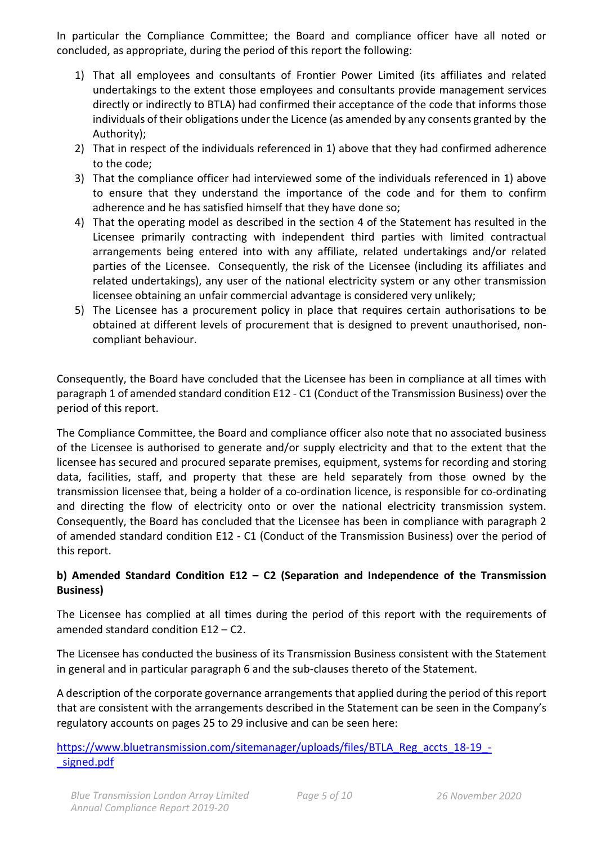In particular the Compliance Committee; the Board and compliance officer have all noted or concluded, as appropriate, during the period of this report the following:

- 1) That all employees and consultants of Frontier Power Limited (its affiliates and related undertakings to the extent those employees and consultants provide management services directly or indirectly to BTLA) had confirmed their acceptance of the code that informs those individuals of their obligations under the Licence (as amended by any consents granted by the Authority);
- 2) That in respect of the individuals referenced in 1) above that they had confirmed adherence to the code;
- 3) That the compliance officer had interviewed some of the individuals referenced in 1) above to ensure that they understand the importance of the code and for them to confirm adherence and he has satisfied himself that they have done so;
- 4) That the operating model as described in the section 4 of the Statement has resulted in the Licensee primarily contracting with independent third parties with limited contractual arrangements being entered into with any affiliate, related undertakings and/or related parties of the Licensee. Consequently, the risk of the Licensee (including its affiliates and related undertakings), any user of the national electricity system or any other transmission licensee obtaining an unfair commercial advantage is considered very unlikely;
- 5) The Licensee has a procurement policy in place that requires certain authorisations to be obtained at different levels of procurement that is designed to prevent unauthorised, noncompliant behaviour.

Consequently, the Board have concluded that the Licensee has been in compliance at all times with paragraph 1 of amended standard condition E12 - C1 (Conduct of the Transmission Business) over the period of this report.

The Compliance Committee, the Board and compliance officer also note that no associated business of the Licensee is authorised to generate and/or supply electricity and that to the extent that the licensee has secured and procured separate premises, equipment, systems for recording and storing data, facilities, staff, and property that these are held separately from those owned by the transmission licensee that, being a holder of a co-ordination licence, is responsible for co-ordinating and directing the flow of electricity onto or over the national electricity transmission system. Consequently, the Board has concluded that the Licensee has been in compliance with paragraph 2 of amended standard condition E12 - C1 (Conduct of the Transmission Business) over the period of this report.

# **b) Amended Standard Condition E12 – C2 (Separation and Independence of the Transmission Business)**

The Licensee has complied at all times during the period of this report with the requirements of amended standard condition E12 – C2.

The Licensee has conducted the business of its Transmission Business consistent with the Statement in general and in particular paragraph 6 and the sub-clauses thereto of the Statement.

A description of the corporate governance arrangements that applied during the period of this report that are consistent with the arrangements described in the Statement can be seen in the Company's regulatory accounts on pages 25 to 29 inclusive and can be seen here:

# [https://www.bluetransmission.com/sitemanager/uploads/files/BTLA\\_Reg\\_accts\\_18-19\\_-](https://www.bluetransmission.com/sitemanager/uploads/files/BTLA_Reg_accts_18-19_-_signed.pdf) [\\_signed.pdf](https://www.bluetransmission.com/sitemanager/uploads/files/BTLA_Reg_accts_18-19_-_signed.pdf)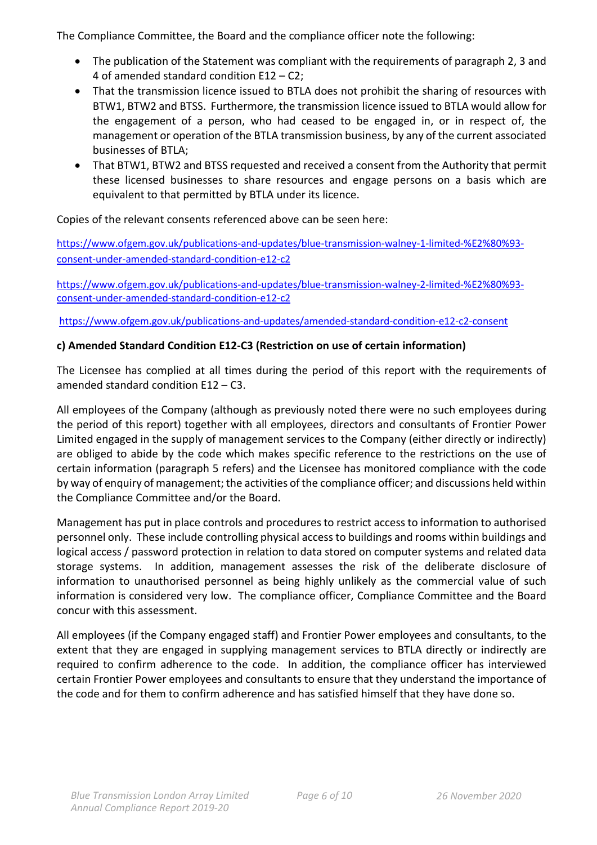The Compliance Committee, the Board and the compliance officer note the following:

- The publication of the Statement was compliant with the requirements of paragraph 2, 3 and 4 of amended standard condition E12 – C2;
- That the transmission licence issued to BTLA does not prohibit the sharing of resources with BTW1, BTW2 and BTSS. Furthermore, the transmission licence issued to BTLA would allow for the engagement of a person, who had ceased to be engaged in, or in respect of, the management or operation of the BTLA transmission business, by any of the current associated businesses of BTLA;
- That BTW1, BTW2 and BTSS requested and received a consent from the Authority that permit these licensed businesses to share resources and engage persons on a basis which are equivalent to that permitted by BTLA under its licence.

# Copies of the relevant consents referenced above can be seen here:

[https://www.ofgem.gov.uk/publications-and-updates/blue-transmission-walney-1-limited-%E2%80%93](https://www.ofgem.gov.uk/publications-and-updates/blue-transmission-walney-1-limited-%E2%80%93-consent-under-amended-standard-condition-e12-c2) [consent-under-amended-standard-condition-e12-c2](https://www.ofgem.gov.uk/publications-and-updates/blue-transmission-walney-1-limited-%E2%80%93-consent-under-amended-standard-condition-e12-c2)

[https://www.ofgem.gov.uk/publications-and-updates/blue-transmission-walney-2-limited-%E2%80%93](https://www.ofgem.gov.uk/publications-and-updates/blue-transmission-walney-2-limited-%E2%80%93-consent-under-amended-standard-condition-e12-c2) [consent-under-amended-standard-condition-e12-c2](https://www.ofgem.gov.uk/publications-and-updates/blue-transmission-walney-2-limited-%E2%80%93-consent-under-amended-standard-condition-e12-c2)

<https://www.ofgem.gov.uk/publications-and-updates/amended-standard-condition-e12-c2-consent>

#### **c) Amended Standard Condition E12-C3 (Restriction on use of certain information)**

The Licensee has complied at all times during the period of this report with the requirements of amended standard condition E12 – C3.

All employees of the Company (although as previously noted there were no such employees during the period of this report) together with all employees, directors and consultants of Frontier Power Limited engaged in the supply of management services to the Company (either directly or indirectly) are obliged to abide by the code which makes specific reference to the restrictions on the use of certain information (paragraph 5 refers) and the Licensee has monitored compliance with the code by way of enquiry of management; the activities of the compliance officer; and discussions held within the Compliance Committee and/or the Board.

Management has put in place controls and procedures to restrict access to information to authorised personnel only. These include controlling physical access to buildings and rooms within buildings and logical access / password protection in relation to data stored on computer systems and related data storage systems. In addition, management assesses the risk of the deliberate disclosure of information to unauthorised personnel as being highly unlikely as the commercial value of such information is considered very low. The compliance officer, Compliance Committee and the Board concur with this assessment.

All employees (if the Company engaged staff) and Frontier Power employees and consultants, to the extent that they are engaged in supplying management services to BTLA directly or indirectly are required to confirm adherence to the code. In addition, the compliance officer has interviewed certain Frontier Power employees and consultants to ensure that they understand the importance of the code and for them to confirm adherence and has satisfied himself that they have done so.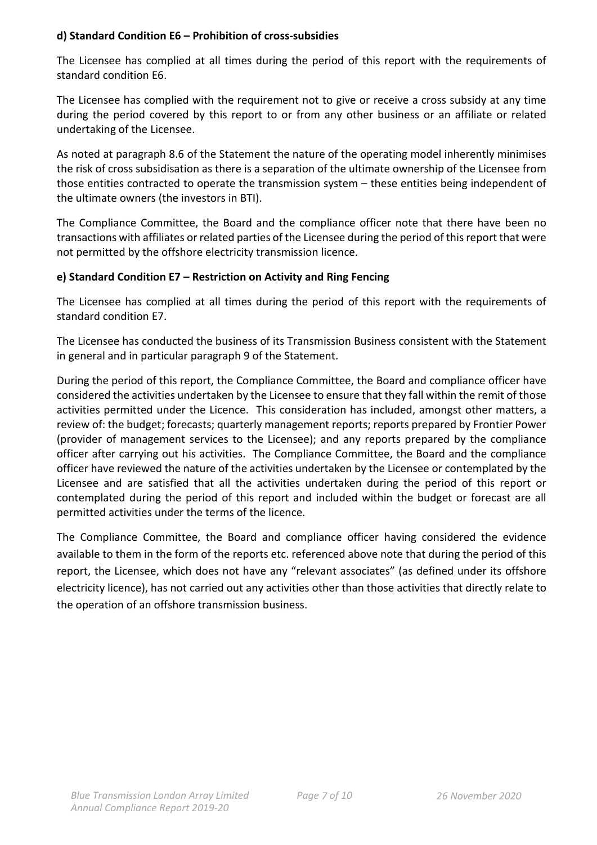#### **d) Standard Condition E6 – Prohibition of cross-subsidies**

The Licensee has complied at all times during the period of this report with the requirements of standard condition E6.

The Licensee has complied with the requirement not to give or receive a cross subsidy at any time during the period covered by this report to or from any other business or an affiliate or related undertaking of the Licensee.

As noted at paragraph 8.6 of the Statement the nature of the operating model inherently minimises the risk of cross subsidisation as there is a separation of the ultimate ownership of the Licensee from those entities contracted to operate the transmission system – these entities being independent of the ultimate owners (the investors in BTI).

The Compliance Committee, the Board and the compliance officer note that there have been no transactions with affiliates or related parties of the Licensee during the period of this report that were not permitted by the offshore electricity transmission licence.

# **e) Standard Condition E7 – Restriction on Activity and Ring Fencing**

The Licensee has complied at all times during the period of this report with the requirements of standard condition E7.

The Licensee has conducted the business of its Transmission Business consistent with the Statement in general and in particular paragraph 9 of the Statement.

During the period of this report, the Compliance Committee, the Board and compliance officer have considered the activities undertaken by the Licensee to ensure that they fall within the remit of those activities permitted under the Licence. This consideration has included, amongst other matters, a review of: the budget; forecasts; quarterly management reports; reports prepared by Frontier Power (provider of management services to the Licensee); and any reports prepared by the compliance officer after carrying out his activities. The Compliance Committee, the Board and the compliance officer have reviewed the nature of the activities undertaken by the Licensee or contemplated by the Licensee and are satisfied that all the activities undertaken during the period of this report or contemplated during the period of this report and included within the budget or forecast are all permitted activities under the terms of the licence.

The Compliance Committee, the Board and compliance officer having considered the evidence available to them in the form of the reports etc. referenced above note that during the period of this report, the Licensee, which does not have any "relevant associates" (as defined under its offshore electricity licence), has not carried out any activities other than those activities that directly relate to the operation of an offshore transmission business.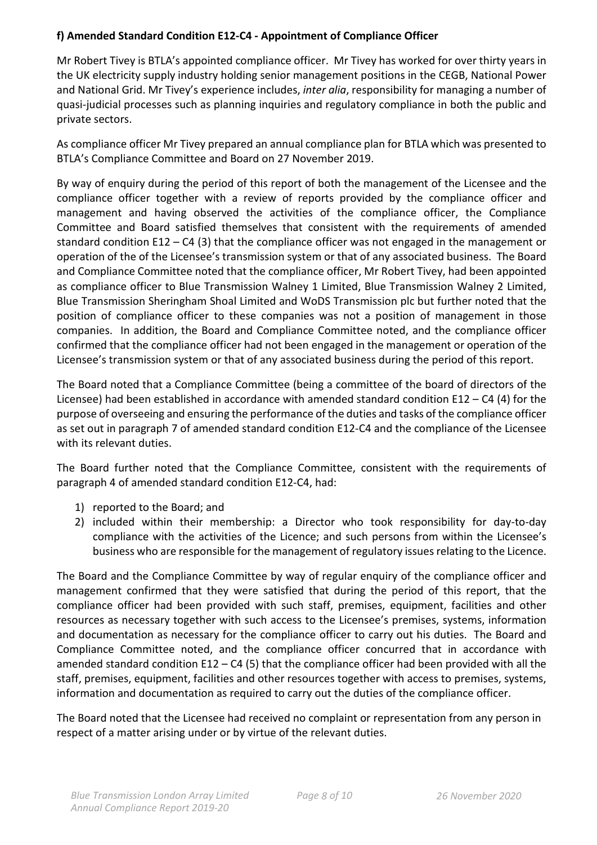# **f) Amended Standard Condition E12-C4 - Appointment of Compliance Officer**

Mr Robert Tivey is BTLA's appointed compliance officer. Mr Tivey has worked for over thirty years in the UK electricity supply industry holding senior management positions in the CEGB, National Power and National Grid. Mr Tivey's experience includes, *inter alia*, responsibility for managing a number of quasi-judicial processes such as planning inquiries and regulatory compliance in both the public and private sectors.

As compliance officer Mr Tivey prepared an annual compliance plan for BTLA which was presented to BTLA's Compliance Committee and Board on 27 November 2019.

By way of enquiry during the period of this report of both the management of the Licensee and the compliance officer together with a review of reports provided by the compliance officer and management and having observed the activities of the compliance officer, the Compliance Committee and Board satisfied themselves that consistent with the requirements of amended standard condition E12 – C4 (3) that the compliance officer was not engaged in the management or operation of the of the Licensee's transmission system or that of any associated business. The Board and Compliance Committee noted that the compliance officer, Mr Robert Tivey, had been appointed as compliance officer to Blue Transmission Walney 1 Limited, Blue Transmission Walney 2 Limited, Blue Transmission Sheringham Shoal Limited and WoDS Transmission plc but further noted that the position of compliance officer to these companies was not a position of management in those companies. In addition, the Board and Compliance Committee noted, and the compliance officer confirmed that the compliance officer had not been engaged in the management or operation of the Licensee's transmission system or that of any associated business during the period of this report.

The Board noted that a Compliance Committee (being a committee of the board of directors of the Licensee) had been established in accordance with amended standard condition E12 – C4 (4) for the purpose of overseeing and ensuring the performance of the duties and tasks of the compliance officer as set out in paragraph 7 of amended standard condition E12-C4 and the compliance of the Licensee with its relevant duties.

The Board further noted that the Compliance Committee, consistent with the requirements of paragraph 4 of amended standard condition E12-C4, had:

- 1) reported to the Board; and
- 2) included within their membership: a Director who took responsibility for day-to-day compliance with the activities of the Licence; and such persons from within the Licensee's business who are responsible for the management of regulatory issues relating to the Licence.

The Board and the Compliance Committee by way of regular enquiry of the compliance officer and management confirmed that they were satisfied that during the period of this report, that the compliance officer had been provided with such staff, premises, equipment, facilities and other resources as necessary together with such access to the Licensee's premises, systems, information and documentation as necessary for the compliance officer to carry out his duties. The Board and Compliance Committee noted, and the compliance officer concurred that in accordance with amended standard condition E12 – C4 (5) that the compliance officer had been provided with all the staff, premises, equipment, facilities and other resources together with access to premises, systems, information and documentation as required to carry out the duties of the compliance officer.

The Board noted that the Licensee had received no complaint or representation from any person in respect of a matter arising under or by virtue of the relevant duties.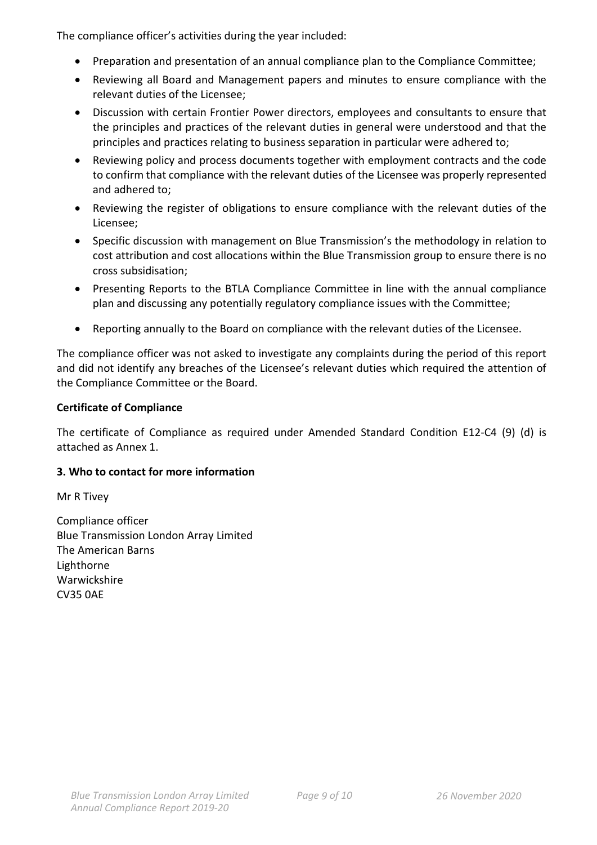The compliance officer's activities during the year included:

- Preparation and presentation of an annual compliance plan to the Compliance Committee;
- Reviewing all Board and Management papers and minutes to ensure compliance with the relevant duties of the Licensee;
- Discussion with certain Frontier Power directors, employees and consultants to ensure that the principles and practices of the relevant duties in general were understood and that the principles and practices relating to business separation in particular were adhered to;
- Reviewing policy and process documents together with employment contracts and the code to confirm that compliance with the relevant duties of the Licensee was properly represented and adhered to;
- Reviewing the register of obligations to ensure compliance with the relevant duties of the Licensee;
- Specific discussion with management on Blue Transmission's the methodology in relation to cost attribution and cost allocations within the Blue Transmission group to ensure there is no cross subsidisation;
- Presenting Reports to the BTLA Compliance Committee in line with the annual compliance plan and discussing any potentially regulatory compliance issues with the Committee;
- Reporting annually to the Board on compliance with the relevant duties of the Licensee.

The compliance officer was not asked to investigate any complaints during the period of this report and did not identify any breaches of the Licensee's relevant duties which required the attention of the Compliance Committee or the Board.

# **Certificate of Compliance**

The certificate of Compliance as required under Amended Standard Condition E12-C4 (9) (d) is attached as Annex 1.

# **3. Who to contact for more information**

Mr R Tivey

Compliance officer Blue Transmission London Array Limited The American Barns Lighthorne Warwickshire CV35 0AE